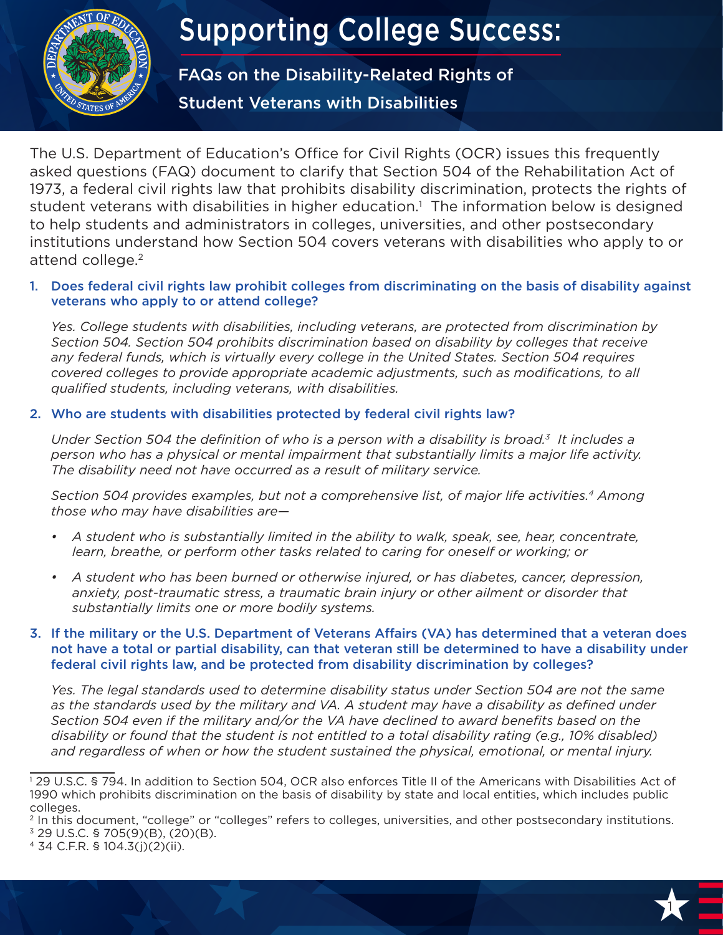

# Supporting College Success:

FAQs on the Disability-Related Rights of Student Veterans with Disabilities

The U.S. Department of Education's Office for Civil Rights (OCR) issues this frequently asked questions (FAQ) document to clarify that Section 504 of the Rehabilitation Act of 1973, a federal civil rights law that prohibits disability discrimination, protects the rights of student veterans with disabilities in higher education.<sup>1</sup> The information below is designed to help students and administrators in colleges, universities, and other postsecondary institutions understand how Section 504 covers veterans with disabilities who apply to or attend college.<sup>2</sup>

## 1. Does federal civil rights law prohibit colleges from discriminating on the basis of disability against veterans who apply to or attend college?

*Yes. College students with disabilities, including veterans, are protected from discrimination by Section 504. Section 504 prohibits discrimination based on disability by colleges that receive any federal funds, which is virtually every college in the United States. Section 504 requires covered colleges to provide appropriate academic adjustments, such as modifications, to all qualified students, including veterans, with disabilities.*

## 2. Who are students with disabilities protected by federal civil rights law?

1 *Under Section 504 the definition of who is a person with a disability is broad.3 It includes a person who has a physical or mental impairment that substantially limits a major life activity. The disability need not have occurred as a result of military service.* 

*Section 504 provides examples, but not a comprehensive list, of major life activities.4 Among those who may have disabilities are—*

- *• A student who is substantially limited in the ability to walk, speak, see, hear, concentrate, learn, breathe, or perform other tasks related to caring for oneself or working; or*
- *• A student who has been burned or otherwise injured, or has diabetes, cancer, depression, anxiety, post-traumatic stress, a traumatic brain injury or other ailment or disorder that substantially limits one or more bodily systems.*

## 3. If the military or the U.S. Department of Veterans Affairs (VA) has determined that a veteran does not have a total or partial disability, can that veteran still be determined to have a disability under federal civil rights law, and be protected from disability discrimination by colleges?

*Yes. The legal standards used to determine disability status under Section 504 are not the same as the standards used by the military and VA. A student may have a disability as defined under Section 504 even if the military and/or the VA have declined to award benefits based on the disability or found that the student is not entitled to a total disability rating (e.g., 10% disabled) and regardless of when or how the student sustained the physical, emotional, or mental injury.*



<sup>1</sup> 29 U.S.C. § 794. In addition to Section 504, OCR also enforces Title II of the Americans with Disabilities Act of 1990 which prohibits discrimination on the basis of disability by state and local entities, which includes public colleges.

<sup>&</sup>lt;sup>2</sup> In this document, "college" or "colleges" refers to colleges, universities, and other postsecondary institutions.

 $3$  29 U.S.C. § 705(9)(B), (20)(B).

<sup>4 34</sup> C.F.R. § 104.3(j)(2)(ii).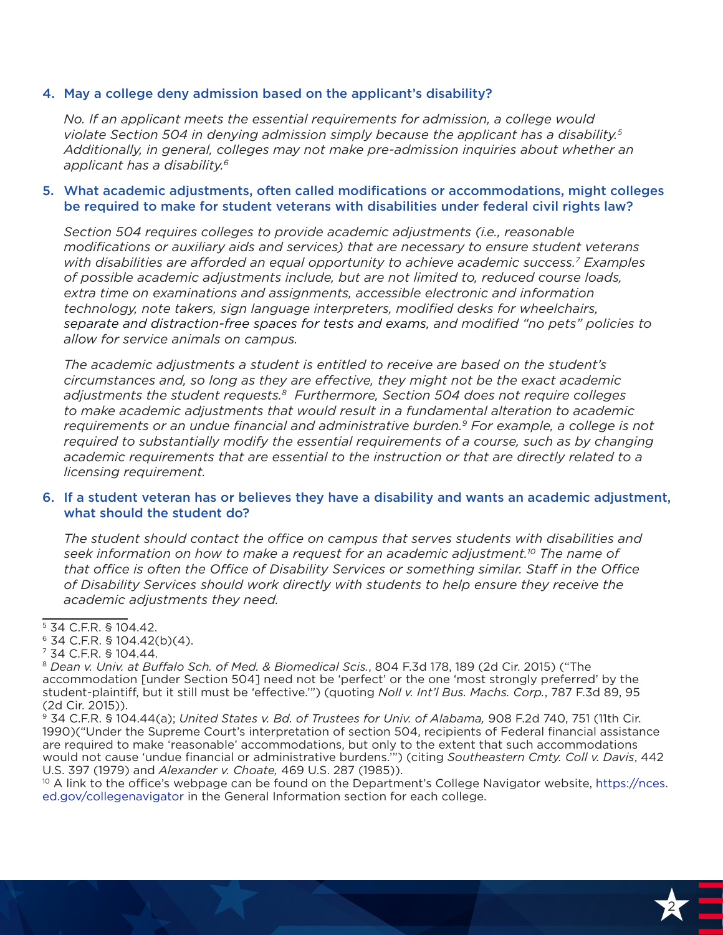### 4. May a college deny admission based on the applicant's disability?

*No. If an applicant meets the essential requirements for admission, a college would violate Section 504 in denying admission simply because the applicant has a disability.5 Additionally, in general, colleges may not make pre-admission inquiries about whether an applicant has a disability. 6*

### 5. What academic adjustments, often called modifications or accommodations, might colleges be required to make for student veterans with disabilities under federal civil rights law?

*Section 504 requires colleges to provide academic adjustments (i.e., reasonable modifications or auxiliary aids and services) that are necessary to ensure student veterans with disabilities are afforded an equal opportunity to achieve academic success.7 Examples of possible academic adjustments include, but are not limited to, reduced course loads, extra time on examinations and assignments, accessible electronic and information technology, note takers, sign language interpreters, modified desks for wheelchairs, separate and distraction-free spaces for tests and exams, and modified "no pets" policies to allow for service animals on campus.* 

requirements or an undue financial and administrative burden.<sup>9</sup> For example, a college is not<br>required to substantially modify the essential requirements of a course, such as by changing *The academic adjustments a student is entitled to receive are based on the student's circumstances and, so long as they are effective, they might not be the exact academic adjustments the student requests.8 Furthermore, Section 504 does not require colleges to make academic adjustments that would result in a fundamental alteration to academic required to substantially modify the essential requirements of a course, such as by changing academic requirements that are essential to the instruction or that are directly related to a licensing requirement.* 

## 6. If a student veteran has or believes they have a disability and wants an academic adjustment, what should the student do?

*The student should contact the office on campus that serves students with disabilities and seek information on how to make a request for an academic adjustment.10 The name of that office is often the Office of Disability Services or something similar. Staff in the Office of Disability Services should work directly with students to help ensure they receive the academic adjustments they need.*

6 34 C.F.R. § 104.42(b)(4).

U.S. 397 (1979) and *Alexander v. Choate, 4*69 U.S. 287 (1985)).<br><sup>10</sup> A link to the office's webpage can be found on the Department's College Navigator website, [https://nces.](https://nces.ed.gov/collegenavigator) [ed.gov/collegenavigator](https://nces.ed.gov/collegenavigator) in the General Information section for each college.



<sup>5 34</sup> C.F.R. § 104.42.

<sup>7 34</sup> C.F.R. § 104.44.

<sup>8</sup> *Dean v. Univ. at Buffalo Sch. of Med. & Biomedical Scis.*, 804 F.3d 178, 189 (2d Cir. 2015) ("The accommodation [under Section 504] need not be 'perfect' or the one 'most strongly preferred' by the student-plaintiff, but it still must be 'effective.'") (quoting *Noll v. Int'l Bus. Machs. Corp.*, 787 F.3d 89, 95 (2d Cir. 2015)).

<sup>9 34</sup> C.F.R. § 104.44(a); *United States v. Bd. of Trustees for Univ. of Alabama,* 908 F.2d 740, 751 (11th Cir. 1990)("Under the Supreme Court's interpretation of section 504, recipients of Federal financial assistance are required to make 'reasonable' accommodations, but only to the extent that such accommodations would not cause 'undue financial or administrative burdens.'") (citing *Southeastern Cmty. Coll v. Davis*, 442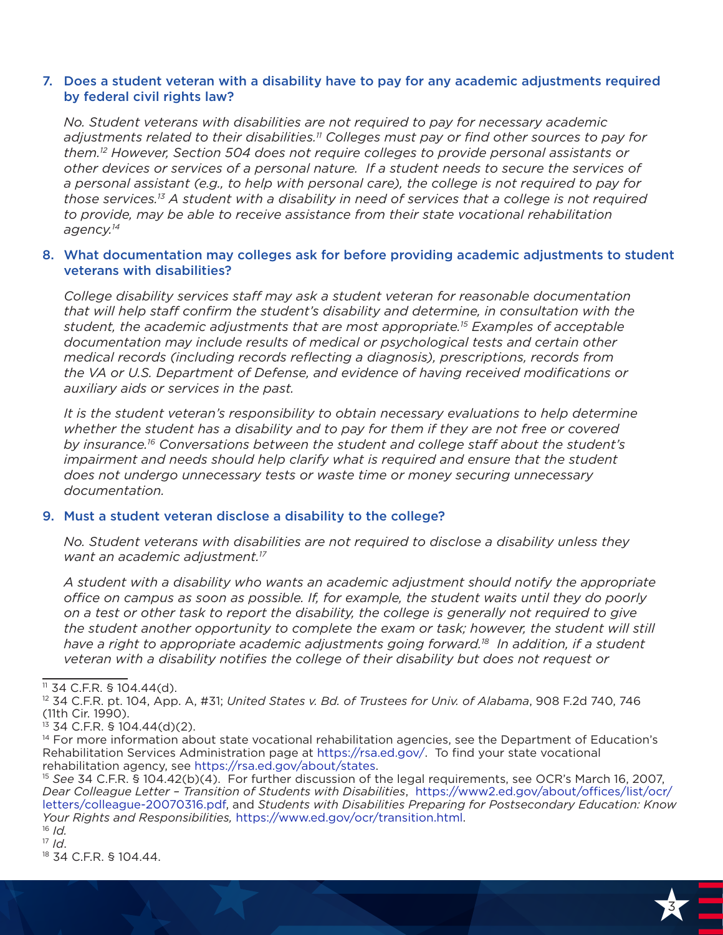## 7. Does a student veteran with a disability have to pay for any academic adjustments required by federal civil rights law?

*No. Student veterans with disabilities are not required to pay for necessary academic adjustments related to their disabilities.11 Colleges must pay or find other sources to pay for them.12 However, Section 504 does not require colleges to provide personal assistants or other devices or services of a personal nature. If a student needs to secure the services of a personal assistant (e.g., to help with personal care), the college is not required to pay for those services.13 A student with a disability in need of services that a college is not required to provide, may be able to receive assistance from their state vocational rehabilitation agency.14*

### 8. What documentation may colleges ask for before providing academic adjustments to student veterans with disabilities?

*College disability services staff may ask a student veteran for reasonable documentation that will help staff confirm the student's disability and determine, in consultation with the student, the academic adjustments that are most appropriate.15 Examples of acceptable documentation may include results of medical or psychological tests and certain other medical records (including records reflecting a diagnosis), prescriptions, records from the VA or U.S. Department of Defense, and evidence of having received modifications or auxiliary aids or services in the past.* 

whether the student has a disability and to pay for them if they are not free or covered<br>by insurance <sup>16</sup> Conversations between the student and sellege staff about the student's *It is the student veteran's responsibility to obtain necessary evaluations to help determine by insurance.16 Conversations between the student and college staff about the student's impairment and needs should help clarify what is required and ensure that the student does not undergo unnecessary tests or waste time or money securing unnecessary documentation.*

#### 9. Must a student veteran disclose a disability to the college?

*No. Student veterans with disabilities are not required to disclose a disability unless they want an academic adjustment.17* 

*A student with a disability who wants an academic adjustment should notify the appropriate office on campus as soon as possible. If, for example, the student waits until they do poorly on a test or other task to report the disability, the college is generally not required to give the student another opportunity to complete the exam or task; however, the student will still*  have a right to appropriate academic adjustments going forward.<sup>18</sup> In addition, if a student *veteran with a disability notifies the college of their disability but does not request or* 

*Dear Colleague Letter – Transition of Students with Disabilities*, [https://www2.ed.gov/about/offices/list/ocr/](https://www2.ed.gov/about/offices/list/ocr/letters/colleague-20070316.pdf) [letters/colleague-20070316.pdf](https://www2.ed.gov/about/offices/list/ocr/letters/colleague-20070316.pdf), and *Students with Disabilities Preparing for Postsecondary Education: Know Your Rights and Responsibilities,* <https://www.ed.gov/ocr/transition.html>. <sup>16</sup> *Id.*

18 34 C.F.R. § 104.44.

H 3

<sup>11 34</sup> C.F.R. § 104.44(d).

<sup>12 34</sup> C.F.R. pt. 104, App. A, #31; *United States v. Bd. of Trustees for Univ. of Alabama*, 908 F.2d 740, 746 (11th Cir. 1990).

 $13$  34 C.F.R. § 104.44(d)(2).

<sup>&</sup>lt;sup>14</sup> For more information about state vocational rehabilitation agencies, see the Department of Education's Rehabilitation Services Administration page at [https://rsa.ed.gov/.](https://rsa.ed.gov/) To find your state vocational rehabilitation agency, see <https://rsa.ed.gov/about/states>.<br><sup>15</sup> See 34 C.F.R. § 104.42(b)(4). For further discussion of the legal requirements, see OCR's March 16, 2007,

<sup>17</sup> *Id*.